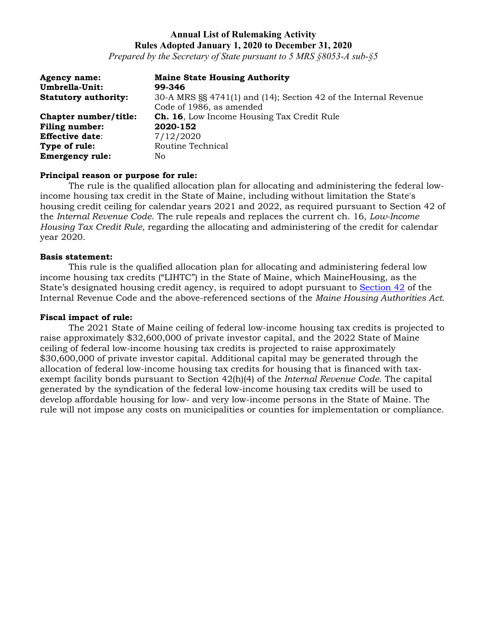# **Annual List of Rulemaking Activity Rules Adopted January 1, 2020 to December 31, 2020**

*Prepared by the Secretary of State pursuant to 5 MRS §8053-A sub-§5*

| <b>Agency name:</b>         | <b>Maine State Housing Authority</b>                             |
|-----------------------------|------------------------------------------------------------------|
| Umbrella-Unit:              | 99-346                                                           |
| <b>Statutory authority:</b> | 30-A MRS §§ 4741(1) and (14); Section 42 of the Internal Revenue |
|                             | Code of 1986, as amended                                         |
| Chapter number/title:       | <b>Ch. 16, Low Income Housing Tax Credit Rule</b>                |
| <b>Filing number:</b>       | 2020-152                                                         |
| <b>Effective date:</b>      | 7/12/2020                                                        |
| Type of rule:               | Routine Technical                                                |
| <b>Emergency rule:</b>      | No                                                               |

#### **Principal reason or purpose for rule:**

The rule is the qualified allocation plan for allocating and administering the federal lowincome housing tax credit in the State of Maine, including without limitation the State's housing credit ceiling for calendar years 2021 and 2022, as required pursuant to Section 42 of the *Internal Revenue Code*. The rule repeals and replaces the current ch. 16, *Low-Income Housing Tax Credit Rule*, regarding the allocating and administering of the credit for calendar year 2020.

#### **Basis statement:**

This rule is the qualified allocation plan for allocating and administering federal low income housing tax credits ("LIHTC") in the State of Maine, which MaineHousing, as the State's designated housing credit agency, is required to adopt pursuant to [Section 42](https://www.law.cornell.edu/uscode/text/26/42) of the Internal Revenue Code and the above-referenced sections of the *Maine Housing Authorities Act*.

#### **Fiscal impact of rule:**

The 2021 State of Maine ceiling of federal low-income housing tax credits is projected to raise approximately \$32,600,000 of private investor capital, and the 2022 State of Maine ceiling of federal low-income housing tax credits is projected to raise approximately \$30,600,000 of private investor capital. Additional capital may be generated through the allocation of federal low-income housing tax credits for housing that is financed with taxexempt facility bonds pursuant to Section 42(h)(4) of the *Internal Revenue Code*. The capital generated by the syndication of the federal low-income housing tax credits will be used to develop affordable housing for low- and very low-income persons in the State of Maine. The rule will not impose any costs on municipalities or counties for implementation or compliance.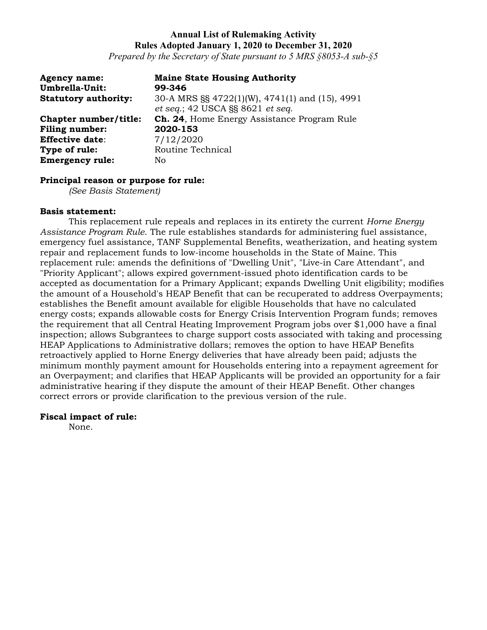# **Annual List of Rulemaking Activity Rules Adopted January 1, 2020 to December 31, 2020**

*Prepared by the Secretary of State pursuant to 5 MRS §8053-A sub-§5*

| <b>Agency name:</b><br>Umbrella-Unit: | <b>Maine State Housing Authority</b><br>99-346                                     |
|---------------------------------------|------------------------------------------------------------------------------------|
| <b>Statutory authority:</b>           | 30-A MRS §§ 4722(1)(W), 4741(1) and (15), 4991<br>et seq.; 42 USCA §§ 8621 et seq. |
| Chapter number/title:                 | <b>Ch. 24.</b> Home Energy Assistance Program Rule                                 |
| <b>Filing number:</b>                 | 2020-153                                                                           |
| <b>Effective date:</b>                | 7/12/2020                                                                          |
| Type of rule:                         | Routine Technical                                                                  |
| <b>Emergency rule:</b>                | No                                                                                 |

#### **Principal reason or purpose for rule:**

*(See Basis Statement)*

#### **Basis statement:**

This replacement rule repeals and replaces in its entirety the current *Horne Energy Assistance Program Rule*. The rule establishes standards for administering fuel assistance, emergency fuel assistance, TANF Supplemental Benefits, weatherization, and heating system repair and replacement funds to low-income households in the State of Maine. This replacement rule: amends the definitions of "Dwelling Unit", "Live-in Care Attendant", and "Priority Applicant"; allows expired government-issued photo identification cards to be accepted as documentation for a Primary Applicant; expands Dwelling Unit eligibility; modifies the amount of a Household's HEAP Benefit that can be recuperated to address Overpayments; establishes the Benefit amount available for eligible Households that have no calculated energy costs; expands allowable costs for Energy Crisis Intervention Program funds; removes the requirement that all Central Heating Improvement Program jobs over \$1,000 have a final inspection; allows Subgrantees to charge support costs associated with taking and processing HEAP Applications to Administrative dollars; removes the option to have HEAP Benefits retroactively applied to Horne Energy deliveries that have already been paid; adjusts the minimum monthly payment amount for Households entering into a repayment agreement for an Overpayment; and clarifies that HEAP Applicants will be provided an opportunity for a fair administrative hearing if they dispute the amount of their HEAP Benefit. Other changes correct errors or provide clarification to the previous version of the rule.

### **Fiscal impact of rule:**

None.